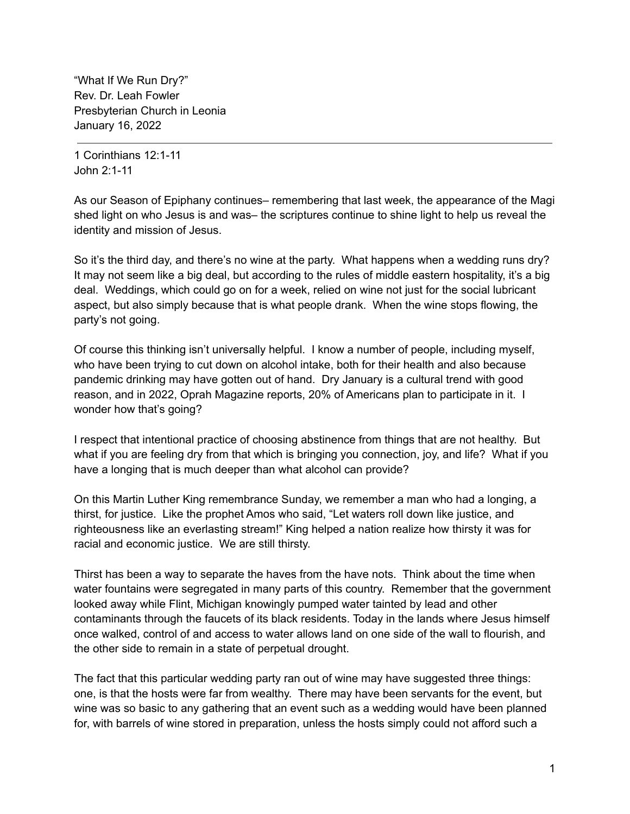"What If We Run Dry?" Rev. Dr. Leah Fowler Presbyterian Church in Leonia January 16, 2022

1 Corinthians 12:1-11 John 2:1-11

As our Season of Epiphany continues– remembering that last week, the appearance of the Magi shed light on who Jesus is and was– the scriptures continue to shine light to help us reveal the identity and mission of Jesus.

So it's the third day, and there's no wine at the party. What happens when a wedding runs dry? It may not seem like a big deal, but according to the rules of middle eastern hospitality, it's a big deal. Weddings, which could go on for a week, relied on wine not just for the social lubricant aspect, but also simply because that is what people drank. When the wine stops flowing, the party's not going.

Of course this thinking isn't universally helpful. I know a number of people, including myself, who have been trying to cut down on alcohol intake, both for their health and also because pandemic drinking may have gotten out of hand. Dry January is a cultural trend with good reason, and in 2022, Oprah Magazine reports, 20% of Americans plan to participate in it. I wonder how that's going?

I respect that intentional practice of choosing abstinence from things that are not healthy. But what if you are feeling dry from that which is bringing you connection, joy, and life? What if you have a longing that is much deeper than what alcohol can provide?

On this Martin Luther King remembrance Sunday, we remember a man who had a longing, a thirst, for justice. Like the prophet Amos who said, "Let waters roll down like justice, and righteousness like an everlasting stream!" King helped a nation realize how thirsty it was for racial and economic justice. We are still thirsty.

Thirst has been a way to separate the haves from the have nots. Think about the time when water fountains were segregated in many parts of this country. Remember that the government looked away while Flint, Michigan knowingly pumped water tainted by lead and other contaminants through the faucets of its black residents. Today in the lands where Jesus himself once walked, control of and access to water allows land on one side of the wall to flourish, and the other side to remain in a state of perpetual drought.

The fact that this particular wedding party ran out of wine may have suggested three things: one, is that the hosts were far from wealthy. There may have been servants for the event, but wine was so basic to any gathering that an event such as a wedding would have been planned for, with barrels of wine stored in preparation, unless the hosts simply could not afford such a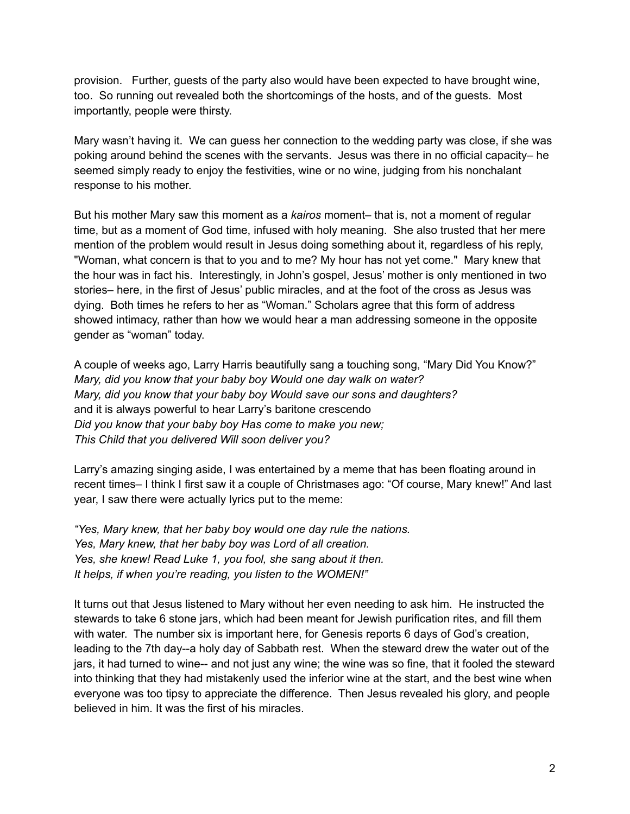provision. Further, guests of the party also would have been expected to have brought wine, too. So running out revealed both the shortcomings of the hosts, and of the guests. Most importantly, people were thirsty.

Mary wasn't having it. We can guess her connection to the wedding party was close, if she was poking around behind the scenes with the servants. Jesus was there in no official capacity– he seemed simply ready to enjoy the festivities, wine or no wine, judging from his nonchalant response to his mother.

But his mother Mary saw this moment as a *kairos* moment– that is, not a moment of regular time, but as a moment of God time, infused with holy meaning. She also trusted that her mere mention of the problem would result in Jesus doing something about it, regardless of his reply, "Woman, what concern is that to you and to me? My hour has not yet come." Mary knew that the hour was in fact his. Interestingly, in John's gospel, Jesus' mother is only mentioned in two stories– here, in the first of Jesus' public miracles, and at the foot of the cross as Jesus was dying. Both times he refers to her as "Woman." Scholars agree that this form of address showed intimacy, rather than how we would hear a man addressing someone in the opposite gender as "woman" today.

A couple of weeks ago, Larry Harris beautifully sang a touching song, "Mary Did You Know?" *Mary, did you know that your baby boy Would one day walk on water? Mary, did you know that your baby boy Would save our sons and daughters?* and it is always powerful to hear Larry's baritone crescendo *Did you know that your baby boy Has come to make you new; This Child that you delivered Will soon deliver you?*

Larry's amazing singing aside, I was entertained by a meme that has been floating around in recent times– I think I first saw it a couple of Christmases ago: "Of course, Mary knew!" And last year, I saw there were actually lyrics put to the meme:

*"Yes, Mary knew, that her baby boy would one day rule the nations. Yes, Mary knew, that her baby boy was Lord of all creation. Yes, she knew! Read Luke 1, you fool, she sang about it then. It helps, if when you're reading, you listen to the WOMEN!"*

It turns out that Jesus listened to Mary without her even needing to ask him. He instructed the stewards to take 6 stone jars, which had been meant for Jewish purification rites, and fill them with water. The number six is important here, for Genesis reports 6 days of God's creation, leading to the 7th day--a holy day of Sabbath rest. When the steward drew the water out of the jars, it had turned to wine-- and not just any wine; the wine was so fine, that it fooled the steward into thinking that they had mistakenly used the inferior wine at the start, and the best wine when everyone was too tipsy to appreciate the difference. Then Jesus revealed his glory, and people believed in him. It was the first of his miracles.